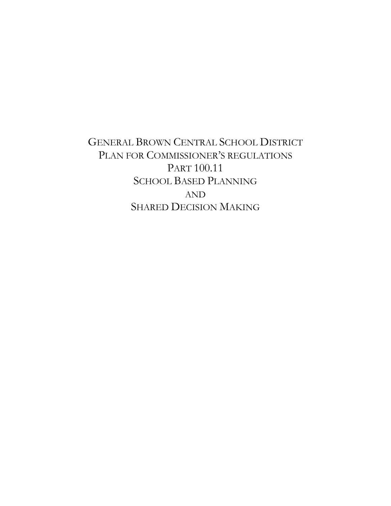# GENERAL BROWN CENTRAL SCHOOL DISTRICT PLAN FOR COMMISSIONER'S REGULATIONS PART 100.11 SCHOOL BASED PLANNING AND SHARED DECISION MAKING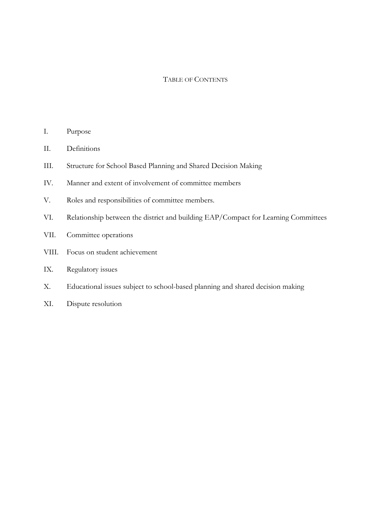#### TABLE OF CONTENTS

- I. Purpose
- II. Definitions
- III. Structure for School Based Planning and Shared Decision Making
- IV. Manner and extent of involvement of committee members
- V. Roles and responsibilities of committee members.
- VI. Relationship between the district and building EAP/Compact for Learning Committees
- VII. Committee operations
- VIII. Focus on student achievement
- IX. Regulatory issues
- X. Educational issues subject to school-based planning and shared decision making
- XI. Dispute resolution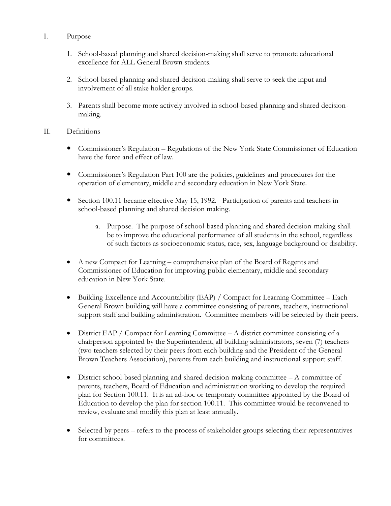## I. Purpose

- 1. School-based planning and shared decision-making shall serve to promote educational excellence for ALL General Brown students.
- 2. School-based planning and shared decision-making shall serve to seek the input and involvement of all stake holder groups.
- 3. Parents shall become more actively involved in school-based planning and shared decisionmaking.

## II. Definitions

- Commissioner's Regulation Regulations of the New York State Commissioner of Education have the force and effect of law.
- Commissioner's Regulation Part 100 are the policies, guidelines and procedures for the operation of elementary, middle and secondary education in New York State.
- Section 100.11 became effective May 15, 1992. Participation of parents and teachers in school-based planning and shared decision making.
	- a. Purpose. The purpose of school-based planning and shared decision-making shall be to improve the educational performance of all students in the school, regardless of such factors as socioeconomic status, race, sex, language background or disability.
- A new Compact for Learning comprehensive plan of the Board of Regents and Commissioner of Education for improving public elementary, middle and secondary education in New York State.
- Building Excellence and Accountability (EAP) / Compact for Learning Committee Each General Brown building will have a committee consisting of parents, teachers, instructional support staff and building administration. Committee members will be selected by their peers.
- District EAP / Compact for Learning Committee A district committee consisting of a chairperson appointed by the Superintendent, all building administrators, seven (7) teachers (two teachers selected by their peers from each building and the President of the General Brown Teachers Association), parents from each building and instructional support staff.
- $\bullet$  District school-based planning and shared decision-making committee  $-A$  committee of parents, teachers, Board of Education and administration working to develop the required plan for Section 100.11. It is an ad-hoc or temporary committee appointed by the Board of Education to develop the plan for section 100.11. This committee would be reconvened to review, evaluate and modify this plan at least annually.
- Selected by peers refers to the process of stakeholder groups selecting their representatives for committees.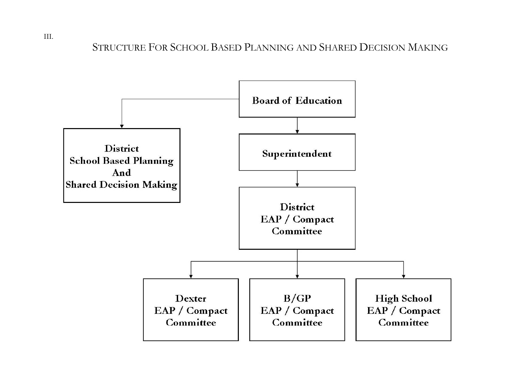STRUCTURE FOR SCHOOL BASED PLANNING AND SHARED DECISION MAKING



III.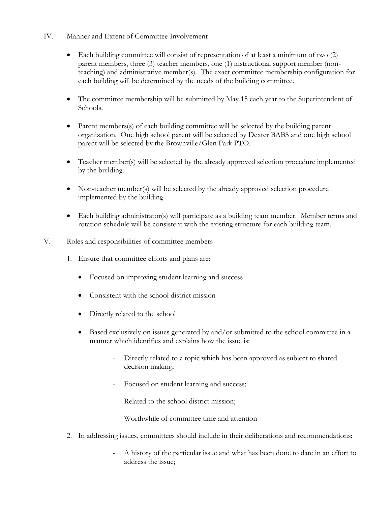- IV. Manner and Extent of Committee Involvement
	- Each building committee will consist of representation of at least a minimum of two (2) parent members, three (3) teacher members, one (1) instructional support member (nonteaching) and administrative member(s). The exact committee membership configuration for each building will be determined by the needs of the building committee.
	- The committee membership will be submitted by May 15 each year to the Superintendent of Schools.
	- Parent members(s) of each building committee will be selected by the building parent organization. One high school parent will be selected by Dexter BABS and one high school parent will be selected by the Brownville/Glen Park PTO.
	- Teacher member(s) will be selected by the already approved selection procedure implemented by the building.
	- Non-teacher member(s) will be selected by the already approved selection procedure implemented by the building.
	- Each building administrator(s) will participate as a building team member. Member terms and rotation schedule will be consistent with the existing structure for each building team.
- V. Roles and responsibilities of committee members
	- 1. Ensure that committee efforts and plans are:
		- Focused on improving student learning and success
		- Consistent with the school district mission
		- Directly related to the school
		- Based exclusively on issues generated by and/or submitted to the school committee in a manner which identifies and explains how the issue is:
			- Directly related to a topic which has been approved as subject to shared decision making;
			- Focused on student learning and success;
			- Related to the school district mission;
			- Worthwhile of committee time and attention
	- 2. In addressing issues, committees should include in their deliberations and recommendations:
		- A history of the particular issue and what has been done to date in an effort to address the issue;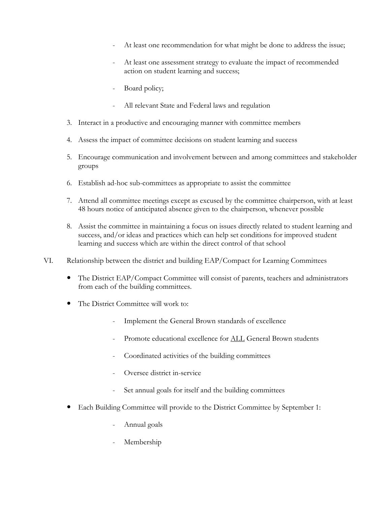- At least one recommendation for what might be done to address the issue;
- At least one assessment strategy to evaluate the impact of recommended action on student learning and success;
- Board policy;
- All relevant State and Federal laws and regulation
- 3. Interact in a productive and encouraging manner with committee members
- 4. Assess the impact of committee decisions on student learning and success
- 5. Encourage communication and involvement between and among committees and stakeholder groups
- 6. Establish ad-hoc sub-committees as appropriate to assist the committee
- 7. Attend all committee meetings except as excused by the committee chairperson, with at least 48 hours notice of anticipated absence given to the chairperson, whenever possible
- 8. Assist the committee in maintaining a focus on issues directly related to student learning and success, and/or ideas and practices which can help set conditions for improved student learning and success which are within the direct control of that school
- VI. Relationship between the district and building EAP/Compact for Learning Committees
	- The District EAP/Compact Committee will consist of parents, teachers and administrators from each of the building committees.
	- The District Committee will work to:
		- Implement the General Brown standards of excellence
		- Promote educational excellence for ALL General Brown students
		- Coordinated activities of the building committees
		- Oversee district in-service
		- Set annual goals for itself and the building committees
	- Each Building Committee will provide to the District Committee by September 1:
		- Annual goals
		- Membership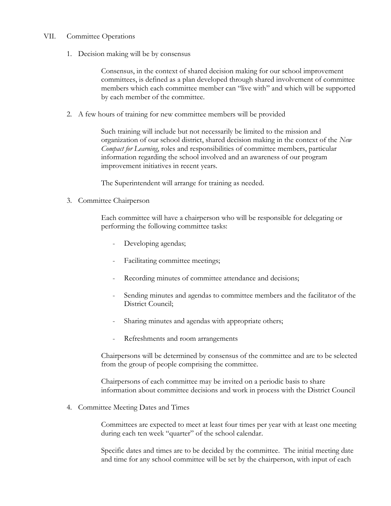### VII. Committee Operations

1. Decision making will be by consensus

Consensus, in the context of shared decision making for our school improvement committees, is defined as a plan developed through shared involvement of committee members which each committee member can "live with" and which will be supported by each member of the committee.

2. A few hours of training for new committee members will be provided

Such training will include but not necessarily be limited to the mission and organization of our school district, shared decision making in the context of the *New Compact for Learning*, roles and responsibilities of committee members, particular information regarding the school involved and an awareness of our program improvement initiatives in recent years.

The Superintendent will arrange for training as needed.

3. Committee Chairperson

Each committee will have a chairperson who will be responsible for delegating or performing the following committee tasks:

- Developing agendas;
- Facilitating committee meetings;
- Recording minutes of committee attendance and decisions;
- Sending minutes and agendas to committee members and the facilitator of the District Council;
- Sharing minutes and agendas with appropriate others;
- Refreshments and room arrangements

Chairpersons will be determined by consensus of the committee and are to be selected from the group of people comprising the committee.

Chairpersons of each committee may be invited on a periodic basis to share information about committee decisions and work in process with the District Council

4. Committee Meeting Dates and Times

Committees are expected to meet at least four times per year with at least one meeting during each ten week "quarter" of the school calendar.

Specific dates and times are to be decided by the committee. The initial meeting date and time for any school committee will be set by the chairperson, with input of each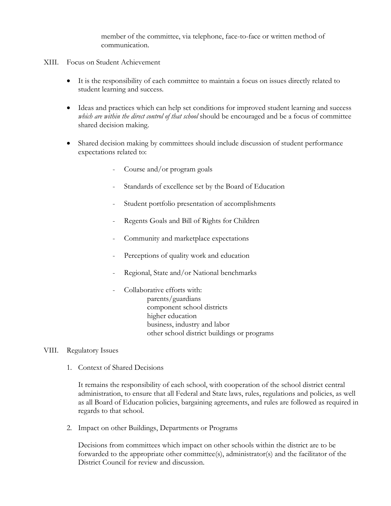member of the committee, via telephone, face-to-face or written method of communication.

- XIII. Focus on Student Achievement
	- It is the responsibility of each committee to maintain a focus on issues directly related to student learning and success.
	- Ideas and practices which can help set conditions for improved student learning and success *which are within the direct control of that school* should be encouraged and be a focus of committee shared decision making.
	- Shared decision making by committees should include discussion of student performance expectations related to:
		- Course and/or program goals
		- Standards of excellence set by the Board of Education
		- Student portfolio presentation of accomplishments
		- Regents Goals and Bill of Rights for Children
		- Community and marketplace expectations
		- Perceptions of quality work and education
		- Regional, State and/or National benchmarks
			- Collaborative efforts with: parents/guardians component school districts higher education business, industry and labor other school district buildings or programs

#### VIII. Regulatory Issues

1. Context of Shared Decisions

It remains the responsibility of each school, with cooperation of the school district central administration, to ensure that all Federal and State laws, rules, regulations and policies, as well as all Board of Education policies, bargaining agreements, and rules are followed as required in regards to that school.

2. Impact on other Buildings, Departments or Programs

Decisions from committees which impact on other schools within the district are to be forwarded to the appropriate other committee(s), administrator(s) and the facilitator of the District Council for review and discussion.